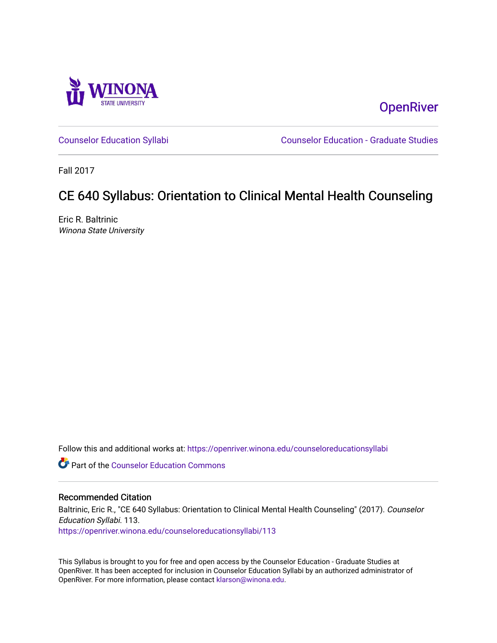

**OpenRiver** 

[Counselor Education Syllabi](https://openriver.winona.edu/counseloreducationsyllabi) [Counselor Education - Graduate Studies](https://openriver.winona.edu/counseloreducation) 

Fall 2017

# CE 640 Syllabus: Orientation to Clinical Mental Health Counseling

Eric R. Baltrinic Winona State University

Follow this and additional works at: [https://openriver.winona.edu/counseloreducationsyllabi](https://openriver.winona.edu/counseloreducationsyllabi?utm_source=openriver.winona.edu%2Fcounseloreducationsyllabi%2F113&utm_medium=PDF&utm_campaign=PDFCoverPages)

Part of the [Counselor Education Commons](http://network.bepress.com/hgg/discipline/1278?utm_source=openriver.winona.edu%2Fcounseloreducationsyllabi%2F113&utm_medium=PDF&utm_campaign=PDFCoverPages) 

### Recommended Citation

Baltrinic, Eric R., "CE 640 Syllabus: Orientation to Clinical Mental Health Counseling" (2017). Counselor Education Syllabi. 113. [https://openriver.winona.edu/counseloreducationsyllabi/113](https://openriver.winona.edu/counseloreducationsyllabi/113?utm_source=openriver.winona.edu%2Fcounseloreducationsyllabi%2F113&utm_medium=PDF&utm_campaign=PDFCoverPages)

This Syllabus is brought to you for free and open access by the Counselor Education - Graduate Studies at OpenRiver. It has been accepted for inclusion in Counselor Education Syllabi by an authorized administrator of OpenRiver. For more information, please contact [klarson@winona.edu](mailto:klarson@winona.edu).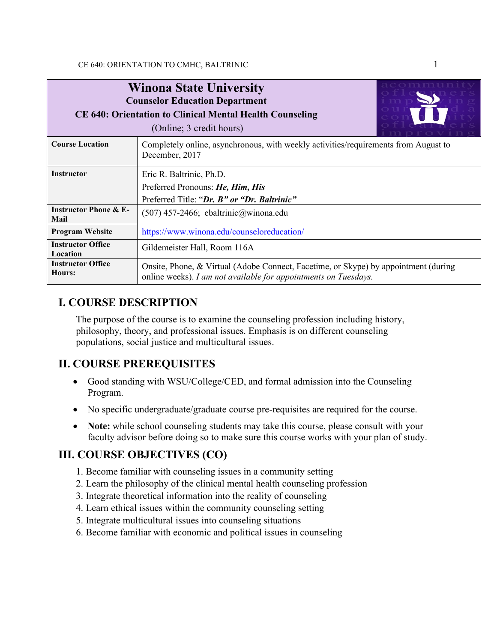| <b>Winona State University</b><br><b>Counselor Education Department</b><br><b>CE 640: Orientation to Clinical Mental Health Counseling</b><br>(Online; 3 credit hours) |                                                                                                                                                        |  |  |  |
|------------------------------------------------------------------------------------------------------------------------------------------------------------------------|--------------------------------------------------------------------------------------------------------------------------------------------------------|--|--|--|
| <b>Course Location</b>                                                                                                                                                 | Completely online, asynchronous, with weekly activities/requirements from August to<br>December, 2017                                                  |  |  |  |
| <b>Instructor</b>                                                                                                                                                      | Eric R. Baltrinic, Ph.D.<br>Preferred Pronouns: He, Him, His<br>Preferred Title: "Dr. B" or "Dr. Baltrinic"                                            |  |  |  |
| <b>Instructor Phone &amp; E-</b><br>Mail                                                                                                                               | $(507)$ 457-2466; ebaltrinic@winona.edu                                                                                                                |  |  |  |
| <b>Program Website</b>                                                                                                                                                 | https://www.winona.edu/counseloreducation/                                                                                                             |  |  |  |
| <b>Instructor Office</b><br>Location                                                                                                                                   | Gildemeister Hall, Room 116A                                                                                                                           |  |  |  |
| <b>Instructor Office</b><br>Hours:                                                                                                                                     | Onsite, Phone, & Virtual (Adobe Connect, Facetime, or Skype) by appointment (during<br>online weeks). I am not available for appointments on Tuesdays. |  |  |  |

# **I. COURSE DESCRIPTION**

The purpose of the course is to examine the counseling profession including history, philosophy, theory, and professional issues. Emphasis is on different counseling populations, social justice and multicultural issues.

## **II. COURSE PREREQUISITES**

- Good standing with WSU/College/CED, and <u>formal admission</u> into the Counseling Program.
- No specific undergraduate/graduate course pre-requisites are required for the course.
- **Note:** while school counseling students may take this course, please consult with your faculty advisor before doing so to make sure this course works with your plan of study.

# **III. COURSE OBJECTIVES (CO)**

- 1. Become familiar with counseling issues in a community setting
- 2. Learn the philosophy of the clinical mental health counseling profession
- 3. Integrate theoretical information into the reality of counseling
- 4. Learn ethical issues within the community counseling setting
- 5. Integrate multicultural issues into counseling situations
- 6. Become familiar with economic and political issues in counseling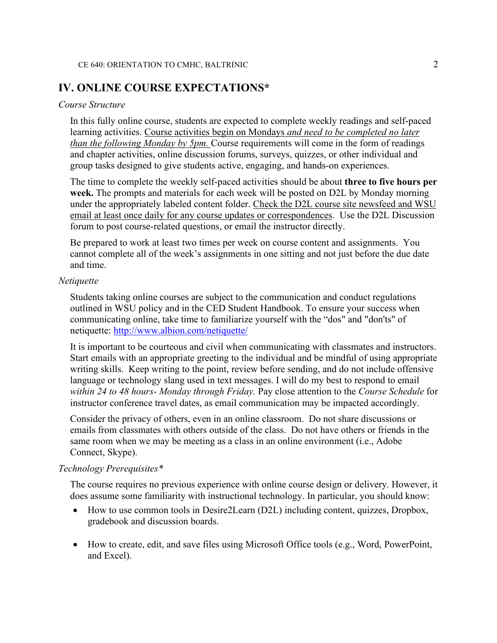### **IV. ONLINE COURSE EXPECTATIONS\***

#### *Course Structure*

In this fully online course, students are expected to complete weekly readings and self-paced learning activities. Course activities begin on Mondays *and need to be completed no later than the following Monday by 5pm.* Course requirements will come in the form of readings and chapter activities, online discussion forums, surveys, quizzes, or other individual and group tasks designed to give students active, engaging, and hands-on experiences.

The time to complete the weekly self-paced activities should be about **three to five hours per week.** The prompts and materials for each week will be posted on D2L by Monday morning under the appropriately labeled content folder. Check the D2L course site newsfeed and WSU email at least once daily for any course updates or correspondences. Use the D2L Discussion forum to post course-related questions, or email the instructor directly.

Be prepared to work at least two times per week on course content and assignments. You cannot complete all of the week's assignments in one sitting and not just before the due date and time.

#### *Netiquette*

Students taking online courses are subject to the communication and conduct regulations outlined in WSU policy and in the CED Student Handbook. To ensure your success when communicating online, take time to familiarize yourself with the "dos" and "don'ts" of netiquette:<http://www.albion.com/netiquette/>

It is important to be courteous and civil when communicating with classmates and instructors. Start emails with an appropriate greeting to the individual and be mindful of using appropriate writing skills. Keep writing to the point, review before sending, and do not include offensive language or technology slang used in text messages. I will do my best to respond to email *within 24 to 48 hours- Monday through Friday.* Pay close attention to the *Course Schedule* for instructor conference travel dates, as email communication may be impacted accordingly.

Consider the privacy of others, even in an online classroom. Do not share discussions or emails from classmates with others outside of the class. Do not have others or friends in the same room when we may be meeting as a class in an online environment (i.e., Adobe Connect, Skype).

### *Technology Prerequisites\**

The course requires no previous experience with online course design or delivery. However, it does assume some familiarity with instructional technology. In particular, you should know:

- How to use common tools in Desire2Learn (D2L) including content, quizzes, Dropbox, gradebook and discussion boards.
- How to create, edit, and save files using Microsoft Office tools (e.g., Word, PowerPoint, and Excel).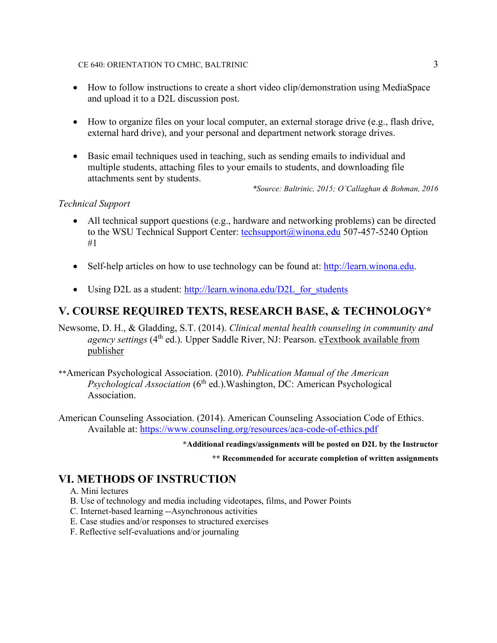### CE 640: ORIENTATION TO CMHC, BALTRINIC 3

- How to follow instructions to create a short video clip/demonstration using MediaSpace and upload it to a D2L discussion post.
- How to organize files on your local computer, an external storage drive (e.g., flash drive, external hard drive), and your personal and department network storage drives.
- Basic email techniques used in teaching, such as sending emails to individual and multiple students, attaching files to your emails to students, and downloading file attachments sent by students.

*\*Source: Baltrinic, 2015; O'Callaghan & Bohman, 2016*

### *Technical Support*

- All technical support questions (e.g., hardware and networking problems) can be directed to the WSU Technical Support Center: [techsupport@winona.edu](mailto:techsupport@winona.edu) 507-457-5240 Option #1
- Self-help articles on how to use technology can be found at: [http://learn.winona.edu.](http://learn.winona.edu/)
- Using D2L as a student: http://learn.winona.edu/D2L for students

# **V. COURSE REQUIRED TEXTS, RESEARCH BASE, & TECHNOLOGY\***

Newsome, D. H., & Gladding, S.T. (2014). *Clinical mental health counseling in community and agency settings* (4th ed.). Upper Saddle River, NJ: Pearson. eTextbook available from publisher

- \*\*American Psychological Association. (2010). *Publication Manual of the American Psychological Association* (6<sup>th</sup> ed.).Washington, DC: American Psychological Association.
- American Counseling Association. (2014). American Counseling Association Code of Ethics. Available at:<https://www.counseling.org/resources/aca-code-of-ethics.pdf>

### **\*Additional readings/assignments will be posted on D2L by the Instructor**

**\*\* Recommended for accurate completion of written assignments**

## **VI. METHODS OF INSTRUCTION**

- A. Mini lectures
- B. Use of technology and media including videotapes, films, and Power Points
- C. Internet-based learning --Asynchronous activities
- E. Case studies and/or responses to structured exercises
- F. Reflective self-evaluations and/or journaling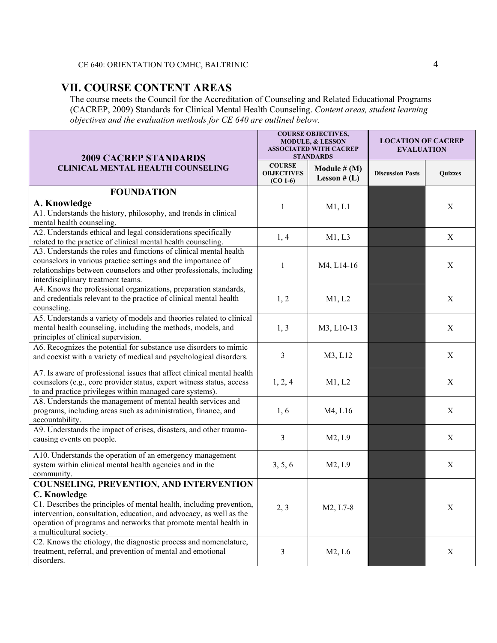# **VII. COURSE CONTENT AREAS**

The course meets the Council for the Accreditation of Counseling and Related Educational Programs (CACREP, 2009) Standards for Clinical Mental Health Counseling. *Content areas, student learning objectives and the evaluation methods for CE 640 are outlined below.*

| <b>2009 CACREP STANDARDS</b>                                                                                                                                                                                                                                | <b>COURSE OBJECTIVES,</b><br><b>MODULE, &amp; LESSON</b><br><b>ASSOCIATED WITH CACREP</b><br><b>STANDARDS</b> |                                | <b>LOCATION OF CACREP</b><br><b>EVALUATION</b> |                           |
|-------------------------------------------------------------------------------------------------------------------------------------------------------------------------------------------------------------------------------------------------------------|---------------------------------------------------------------------------------------------------------------|--------------------------------|------------------------------------------------|---------------------------|
| <b>CLINICAL MENTAL HEALTH COUNSELING</b>                                                                                                                                                                                                                    | <b>COURSE</b><br><b>OBJECTIVES</b><br>$(CO 1-6)$                                                              | Module # (M)<br>Lesson $# (L)$ | <b>Discussion Posts</b>                        | <b>Quizzes</b>            |
| <b>FOUNDATION</b>                                                                                                                                                                                                                                           |                                                                                                               |                                |                                                |                           |
| A. Knowledge<br>A1. Understands the history, philosophy, and trends in clinical<br>mental health counseling.                                                                                                                                                | 1                                                                                                             | M1, L1                         |                                                | X                         |
| A2. Understands ethical and legal considerations specifically<br>related to the practice of clinical mental health counseling.                                                                                                                              | 1, 4                                                                                                          | M1, L3                         |                                                | $\boldsymbol{X}$          |
| A3. Understands the roles and functions of clinical mental health<br>counselors in various practice settings and the importance of<br>relationships between counselors and other professionals, including<br>interdisciplinary treatment teams.             | 1                                                                                                             | M4, L14-16                     |                                                | X                         |
| A4. Knows the professional organizations, preparation standards,<br>and credentials relevant to the practice of clinical mental health<br>counseling.                                                                                                       | 1, 2                                                                                                          | M1, L2                         |                                                | X                         |
| A5. Understands a variety of models and theories related to clinical<br>mental health counseling, including the methods, models, and<br>principles of clinical supervision.                                                                                 | 1, 3                                                                                                          | M3, L10-13                     |                                                | $\boldsymbol{X}$          |
| A6. Recognizes the potential for substance use disorders to mimic<br>and coexist with a variety of medical and psychological disorders.                                                                                                                     | 3                                                                                                             | M3, L12                        |                                                | $\boldsymbol{X}$          |
| A7. Is aware of professional issues that affect clinical mental health<br>counselors (e.g., core provider status, expert witness status, access<br>to and practice privileges within managed care systems).                                                 | 1, 2, 4                                                                                                       | M1, L2                         |                                                | X                         |
| A8. Understands the management of mental health services and<br>programs, including areas such as administration, finance, and<br>accountability.                                                                                                           | 1, 6                                                                                                          | M4, L16                        |                                                | X                         |
| A9. Understands the impact of crises, disasters, and other trauma-<br>causing events on people.                                                                                                                                                             | 3                                                                                                             | M2, L9                         |                                                | $\mathbf X$               |
| A10. Understands the operation of an emergency management<br>system within clinical mental health agencies and in the<br>community.                                                                                                                         | 3, 5, 6                                                                                                       | M2, L9                         |                                                | X                         |
| <b>COUNSELING, PREVENTION, AND INTERVENTION</b>                                                                                                                                                                                                             |                                                                                                               |                                |                                                |                           |
| C. Knowledge<br>C1. Describes the principles of mental health, including prevention,<br>intervention, consultation, education, and advocacy, as well as the<br>operation of programs and networks that promote mental health in<br>a multicultural society. | 2, 3                                                                                                          | M2, L7-8                       |                                                | $\boldsymbol{\mathrm{X}}$ |
| C2. Knows the etiology, the diagnostic process and nomenclature,<br>treatment, referral, and prevention of mental and emotional<br>disorders.                                                                                                               | 3                                                                                                             | M2, L6                         |                                                | $\mathbf X$               |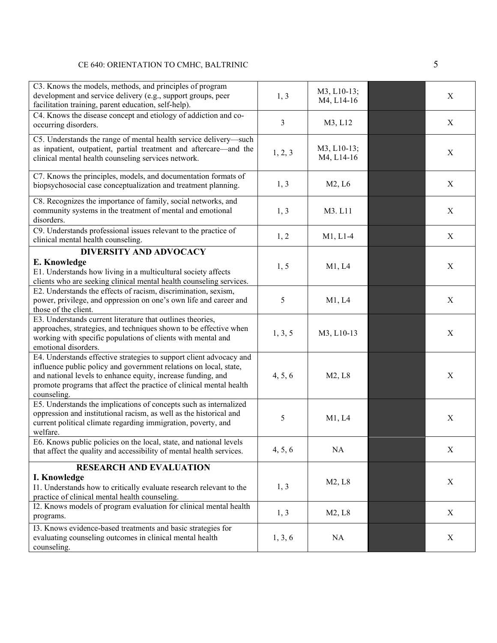### CE 640: ORIENTATION TO CMHC, BALTRINIC 5

| C3. Knows the models, methods, and principles of program<br>development and service delivery (e.g., support groups, peer<br>facilitation training, parent education, self-help).                                                                                                               | 1, 3    | M3, L10-13;<br>M4, L14-16 | X                |
|------------------------------------------------------------------------------------------------------------------------------------------------------------------------------------------------------------------------------------------------------------------------------------------------|---------|---------------------------|------------------|
| C4. Knows the disease concept and etiology of addiction and co-<br>occurring disorders.                                                                                                                                                                                                        | 3       | M3, L12                   | $\boldsymbol{X}$ |
| C5. Understands the range of mental health service delivery—such<br>as inpatient, outpatient, partial treatment and aftercare—and the<br>clinical mental health counseling services network.                                                                                                   | 1, 2, 3 | M3, L10-13;<br>M4, L14-16 | $\boldsymbol{X}$ |
| C7. Knows the principles, models, and documentation formats of<br>biopsychosocial case conceptualization and treatment planning.                                                                                                                                                               | 1, 3    | M2, L6                    | X                |
| C8. Recognizes the importance of family, social networks, and<br>community systems in the treatment of mental and emotional<br>disorders.                                                                                                                                                      | 1, 3    | M3. L11                   | X                |
| C9. Understands professional issues relevant to the practice of<br>clinical mental health counseling.                                                                                                                                                                                          | 1, 2    | $M1, L1-4$                | $\boldsymbol{X}$ |
| <b>DIVERSITY AND ADVOCACY</b>                                                                                                                                                                                                                                                                  |         |                           |                  |
| E. Knowledge<br>E1. Understands how living in a multicultural society affects<br>clients who are seeking clinical mental health counseling services.                                                                                                                                           | 1, 5    | M1, L4                    | X                |
| E2. Understands the effects of racism, discrimination, sexism,<br>power, privilege, and oppression on one's own life and career and<br>those of the client.                                                                                                                                    | 5       | M1, L4                    | X                |
| E3. Understands current literature that outlines theories,<br>approaches, strategies, and techniques shown to be effective when<br>working with specific populations of clients with mental and<br>emotional disorders.                                                                        | 1, 3, 5 | M3, L10-13                | X                |
| E4. Understands effective strategies to support client advocacy and<br>influence public policy and government relations on local, state,<br>and national levels to enhance equity, increase funding, and<br>promote programs that affect the practice of clinical mental health<br>counseling. | 4, 5, 6 | M2, L8                    | X                |
| E5. Understands the implications of concepts such as internalized<br>oppression and institutional racism, as well as the historical and<br>current political climate regarding immigration, poverty, and<br>welfare.                                                                           | 5       | M1, L4                    | X                |
| E6. Knows public policies on the local, state, and national levels<br>that affect the quality and accessibility of mental health services.                                                                                                                                                     | 4, 5, 6 | NA                        | X                |
| <b>RESEARCH AND EVALUATION</b>                                                                                                                                                                                                                                                                 |         |                           |                  |
| I. Knowledge<br>I1. Understands how to critically evaluate research relevant to the<br>practice of clinical mental health counseling.                                                                                                                                                          | 1, 3    | M2, L8                    | X                |
| I2. Knows models of program evaluation for clinical mental health<br>programs.                                                                                                                                                                                                                 | 1, 3    | M2, L8                    | X                |
| I3. Knows evidence-based treatments and basic strategies for<br>evaluating counseling outcomes in clinical mental health<br>counseling.                                                                                                                                                        | 1, 3, 6 | NA                        | X                |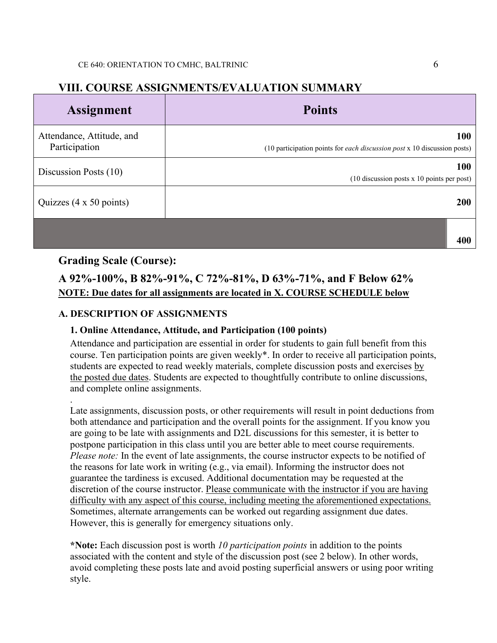### **VIII. COURSE ASSIGNMENTS/EVALUATION SUMMARY**

| <b>Assignment</b>                          | <b>Points</b>                                                                          |
|--------------------------------------------|----------------------------------------------------------------------------------------|
| Attendance, Attitude, and<br>Participation | 100<br>(10 participation points for <i>each discussion post</i> x 10 discussion posts) |
| Discussion Posts (10)                      | 100<br>(10 discussion posts x 10 points per post)                                      |
| Quizzes (4 x 50 points)                    | 200                                                                                    |
|                                            | 400                                                                                    |

### **Grading Scale (Course):**

# **A 92%-100%, B 82%-91%, C 72%-81%, D 63%-71%, and F Below 62% NOTE: Due dates for all assignments are located in X. COURSE SCHEDULE below**

### **A. DESCRIPTION OF ASSIGNMENTS**

### **1. Online Attendance, Attitude, and Participation (100 points)**

Attendance and participation are essential in order for students to gain full benefit from this course. Ten participation points are given weekly\*. In order to receive all participation points, students are expected to read weekly materials, complete discussion posts and exercises by the posted due dates. Students are expected to thoughtfully contribute to online discussions, and complete online assignments.

. Late assignments, discussion posts, or other requirements will result in point deductions from both attendance and participation and the overall points for the assignment. If you know you are going to be late with assignments and D2L discussions for this semester, it is better to postpone participation in this class until you are better able to meet course requirements. *Please note:* In the event of late assignments, the course instructor expects to be notified of the reasons for late work in writing (e.g., via email). Informing the instructor does not guarantee the tardiness is excused. Additional documentation may be requested at the discretion of the course instructor. Please communicate with the instructor if you are having difficulty with any aspect of this course, including meeting the aforementioned expectations. Sometimes, alternate arrangements can be worked out regarding assignment due dates. However, this is generally for emergency situations only.

**\*Note:** Each discussion post is worth *10 participation points* in addition to the points associated with the content and style of the discussion post (see 2 below). In other words, avoid completing these posts late and avoid posting superficial answers or using poor writing style.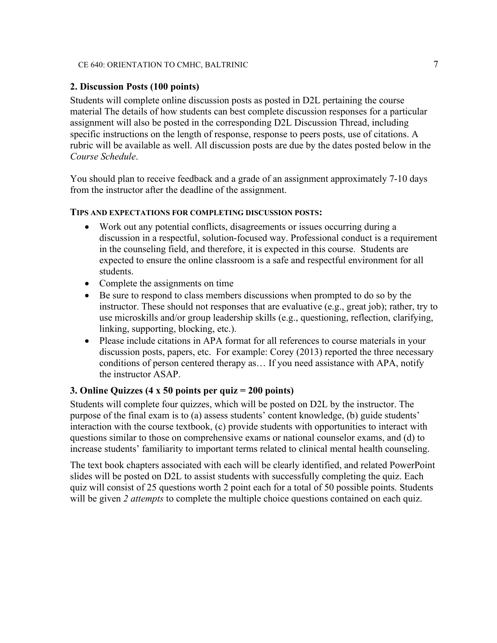#### CE 640: ORIENTATION TO CMHC, BALTRINIC 7 7 2006

### **2. Discussion Posts (100 points)**

Students will complete online discussion posts as posted in D2L pertaining the course material The details of how students can best complete discussion responses for a particular assignment will also be posted in the corresponding D2L Discussion Thread, including specific instructions on the length of response, response to peers posts, use of citations. A rubric will be available as well. All discussion posts are due by the dates posted below in the *Course Schedule*.

You should plan to receive feedback and a grade of an assignment approximately 7-10 days from the instructor after the deadline of the assignment.

#### **TIPS AND EXPECTATIONS FOR COMPLETING DISCUSSION POSTS:**

- Work out any potential conflicts, disagreements or issues occurring during a discussion in a respectful, solution-focused way. Professional conduct is a requirement in the counseling field, and therefore, it is expected in this course. Students are expected to ensure the online classroom is a safe and respectful environment for all students.
- Complete the assignments on time
- Be sure to respond to class members discussions when prompted to do so by the instructor. These should not responses that are evaluative (e.g., great job); rather, try to use microskills and/or group leadership skills (e.g., questioning, reflection, clarifying, linking, supporting, blocking, etc.).
- Please include citations in APA format for all references to course materials in your discussion posts, papers, etc. For example: Corey (2013) reported the three necessary conditions of person centered therapy as… If you need assistance with APA, notify the instructor ASAP.

### **3. Online Quizzes (4 x 50 points per quiz = 200 points)**

Students will complete four quizzes, which will be posted on D2L by the instructor. The purpose of the final exam is to (a) assess students' content knowledge, (b) guide students' interaction with the course textbook, (c) provide students with opportunities to interact with questions similar to those on comprehensive exams or national counselor exams, and (d) to increase students' familiarity to important terms related to clinical mental health counseling.

The text book chapters associated with each will be clearly identified, and related PowerPoint slides will be posted on D2L to assist students with successfully completing the quiz. Each quiz will consist of 25 questions worth 2 point each for a total of 50 possible points. Students will be given 2 *attempts* to complete the multiple choice questions contained on each quiz.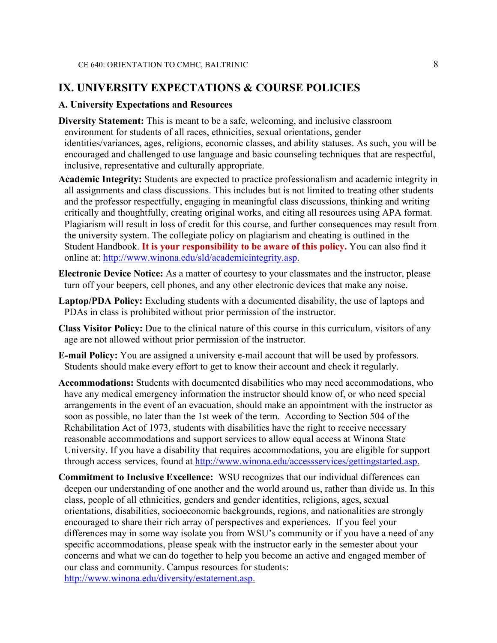### **IX. UNIVERSITY EXPECTATIONS & COURSE POLICIES**

### **A. University Expectations and Resources**

- **Diversity Statement:** This is meant to be a safe, welcoming, and inclusive classroom environment for students of all races, ethnicities, sexual orientations, gender identities/variances, ages, religions, economic classes, and ability statuses. As such, you will be encouraged and challenged to use language and basic counseling techniques that are respectful, inclusive, representative and culturally appropriate.
- **Academic Integrity:** Students are expected to practice professionalism and academic integrity in all assignments and class discussions. This includes but is not limited to treating other students and the professor respectfully, engaging in meaningful class discussions, thinking and writing critically and thoughtfully, creating original works, and citing all resources using APA format. Plagiarism will result in loss of credit for this course, and further consequences may result from the university system. The collegiate policy on plagiarism and cheating is outlined in the Student Handbook. **It is your responsibility to be aware of this policy.** You can also find it online at: [http://www.winona.edu/sld/academicintegrity.asp.](http://www.winona.edu/sld/academicintegrity.asp)
- **Electronic Device Notice:** As a matter of courtesy to your classmates and the instructor, please turn off your beepers, cell phones, and any other electronic devices that make any noise.
- **Laptop/PDA Policy:** Excluding students with a documented disability, the use of laptops and PDAs in class is prohibited without prior permission of the instructor.
- **Class Visitor Policy:** Due to the clinical nature of this course in this curriculum, visitors of any age are not allowed without prior permission of the instructor.
- **E-mail Policy:** You are assigned a university e-mail account that will be used by professors. Students should make every effort to get to know their account and check it regularly.
- **Accommodations:** Students with documented disabilities who may need accommodations, who have any medical emergency information the instructor should know of, or who need special arrangements in the event of an evacuation, should make an appointment with the instructor as soon as possible, no later than the 1st week of the term. According to Section 504 of the Rehabilitation Act of 1973, students with disabilities have the right to receive necessary reasonable accommodations and support services to allow equal access at Winona State University. If you have a disability that requires accommodations, you are eligible for support through access services, found at [http://www.winona.edu/accessservices/gettingstarted.asp.](http://www.winona.edu/accessservices/gettingstarted.asp)
- **Commitment to Inclusive Excellence:** WSU recognizes that our individual differences can deepen our understanding of one another and the world around us, rather than divide us. In this class, people of all ethnicities, genders and gender identities, religions, ages, sexual orientations, disabilities, socioeconomic backgrounds, regions, and nationalities are strongly encouraged to share their rich array of perspectives and experiences. If you feel your differences may in some way isolate you from WSU's community or if you have a need of any specific accommodations, please speak with the instructor early in the semester about your concerns and what we can do together to help you become an active and engaged member of our class and community. Campus resources for students: [http://www.winona.edu/diversity/estatement.asp.](http://www.winona.edu/diversity/estatement.asp)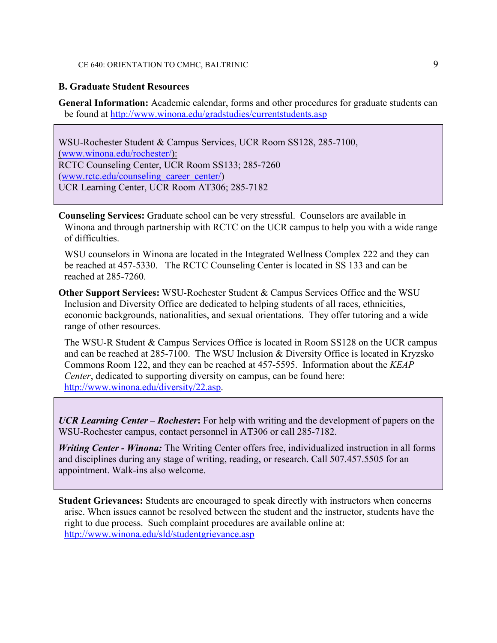#### CE 640: ORIENTATION TO CMHC, BALTRINIC 9

#### **B. Graduate Student Resources**

**General Information:** Academic calendar, forms and other procedures for graduate students can be found at<http://www.winona.edu/gradstudies/currentstudents.asp>

WSU-Rochester Student & Campus Services, UCR Room SS128, 285-7100, [\(www.winona.edu/rochester/\)](http://www.winona.edu/rochester/): RCTC Counseling Center, UCR Room SS133; 285-7260 [\(www.rctc.edu/counseling\\_career\\_center/\)](http://www.rctc.edu/counseling_career_center/) UCR Learning Center, UCR Room AT306; 285-7182

**Counseling Services:** Graduate school can be very stressful. Counselors are available in Winona and through partnership with RCTC on the UCR campus to help you with a wide range of difficulties.

WSU counselors in Winona are located in the Integrated Wellness Complex 222 and they can be reached at 457-5330. The RCTC Counseling Center is located in SS 133 and can be reached at 285-7260.

**Other Support Services:** WSU-Rochester Student & Campus Services Office and the WSU Inclusion and Diversity Office are dedicated to helping students of all races, ethnicities, economic backgrounds, nationalities, and sexual orientations. They offer tutoring and a wide range of other resources.

The WSU-R Student & Campus Services Office is located in Room SS128 on the UCR campus and can be reached at 285-7100. The WSU Inclusion & Diversity Office is located in Kryzsko Commons Room 122, and they can be reached at 457-5595. Information about the *KEAP Center*, dedicated to supporting diversity on campus, can be found here: [http://www.winona.edu/diversity/22.asp.](http://www.winona.edu/diversity/22.asp)

*UCR Learning Center – Rochester***:** For help with writing and the development of papers on the WSU-Rochester campus, contact personnel in AT306 or call 285-7182.

*Writing Center - Winona:* The Writing Center offers free, individualized instruction in all forms and disciplines during any stage of writing, reading, or research. Call 507.457.5505 for an appointment. Walk-ins also welcome.

**Student Grievances:** Students are encouraged to speak directly with instructors when concerns arise. When issues cannot be resolved between the student and the instructor, students have the right to due process. Such complaint procedures are available online at: <http://www.winona.edu/sld/studentgrievance.asp>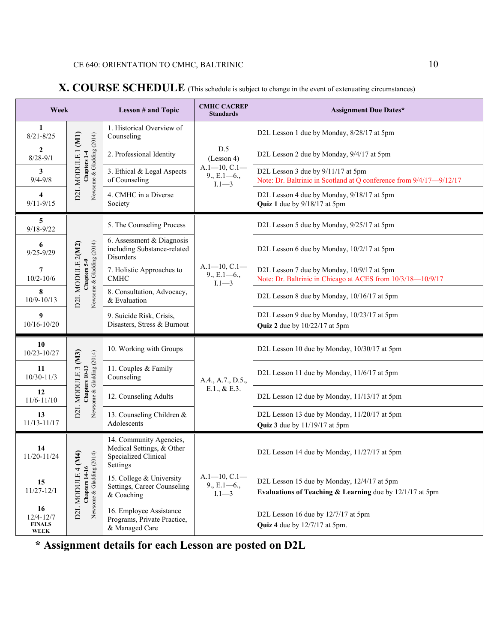| Week                                         |                                                                         | <b>Lesson # and Topic</b>                                                | <b>CMHC CACREP</b><br><b>Standards</b>                                                   | <b>Assignment Due Dates*</b>                                                                              |                                              |
|----------------------------------------------|-------------------------------------------------------------------------|--------------------------------------------------------------------------|------------------------------------------------------------------------------------------|-----------------------------------------------------------------------------------------------------------|----------------------------------------------|
| 1<br>$8/21 - 8/25$                           | D2L MODULE 1 (M1)<br>Newsome & Gladding (2014)<br>Chapters 1-4          | 1. Historical Overview of<br>Counseling                                  | D.5<br>(Lesson 4)<br>$A.1 - 10, C.1 -$<br>$9., E.1 - 6.,$<br>$1.1 - 3$                   | D2L Lesson 1 due by Monday, 8/28/17 at 5pm                                                                |                                              |
| $\overline{2}$<br>$8/28 - 9/1$               |                                                                         | 2. Professional Identity                                                 |                                                                                          | D2L Lesson 2 due by Monday, 9/4/17 at 5pm                                                                 |                                              |
| 3<br>$9/4 - 9/8$                             |                                                                         | 3. Ethical & Legal Aspects<br>of Counseling                              |                                                                                          | D2L Lesson 3 due by 9/11/17 at 5pm<br>Note: Dr. Baltrinic in Scotland at Q conference from 9/4/17-9/12/17 |                                              |
| $\overline{\mathbf{4}}$<br>$9/11 - 9/15$     |                                                                         | 4. CMHC in a Diverse<br>Society                                          |                                                                                          | D2L Lesson 4 due by Monday, 9/18/17 at 5pm<br>Quiz 1 due by 9/18/17 at 5pm                                |                                              |
| 5<br>$9/18 - 9/22$                           |                                                                         | 5. The Counseling Process                                                |                                                                                          | D2L Lesson 5 due by Monday, 9/25/17 at 5pm                                                                |                                              |
| 6<br>$9/25 - 9/29$                           | Newsome & Gladding (2014)<br>D2L MODULE 2(M2)                           | 6. Assessment & Diagnosis<br>including Substance-related<br>Disorders    | $A.1-10, C.1-$<br>$9., E.1 - 6.,$<br>$I.1 - 3$                                           | D2L Lesson 6 due by Monday, 10/2/17 at 5pm                                                                |                                              |
| 7<br>$10/2 - 10/6$                           | Chapters 5-9                                                            | 7. Holistic Approaches to<br><b>CMHC</b>                                 |                                                                                          | D2L Lesson 7 due by Monday, 10/9/17 at 5pm<br>Note: Dr. Baltrinic in Chicago at ACES from 10/3/18-10/9/17 |                                              |
| 8<br>$10/9 - 10/13$                          |                                                                         | 8. Consultation, Advocacy,<br>& Evaluation                               |                                                                                          | D2L Lesson 8 due by Monday, 10/16/17 at 5pm                                                               |                                              |
| 9<br>10/16-10/20                             |                                                                         | 9. Suicide Risk, Crisis,<br>Disasters, Stress & Burnout                  |                                                                                          | D2L Lesson 9 due by Monday, 10/23/17 at 5pm<br>Quiz 2 due by 10/22/17 at 5pm                              |                                              |
| 10<br>10/23-10/27                            | Newsome & Gladding (2014)<br>MODULE 3 (M3)<br>Chapters 10-13            | 10. Working with Groups                                                  | A.4., A.7., D.5.,<br>E.1., & E.3.                                                        | D2L Lesson 10 due by Monday, 10/30/17 at 5pm                                                              |                                              |
| 11<br>$10/30 - 11/3$                         |                                                                         | 11. Couples & Family<br>Counseling                                       |                                                                                          | D2L Lesson 11 due by Monday, 11/6/17 at 5pm                                                               |                                              |
| 12<br>$11/6 - 11/10$                         |                                                                         | 12. Counseling Adults                                                    |                                                                                          | D2L Lesson 12 due by Monday, 11/13/17 at 5pm                                                              |                                              |
| 13<br>11/13-11/17                            | D2L                                                                     | 13. Counseling Children &<br>Adolescents                                 |                                                                                          | D2L Lesson 13 due by Monday, 11/20/17 at 5pm<br>Quiz 3 due by 11/19/17 at 5pm                             |                                              |
| 14<br>11/20-11/24                            | (M4)<br>(14)<br>Chapters 14-16<br>Newsome & Gladding (2<br>D2L MODULE 4 |                                                                          | 14. Community Agencies,<br>Medical Settings, & Other<br>Specialized Clinical<br>Settings |                                                                                                           | D2L Lesson 14 due by Monday, 11/27/17 at 5pm |
| 15<br>$11/27 - 12/1$                         |                                                                         | 15. College & University<br>Settings, Career Counseling<br>& Coaching    | $A.1 - 10, C.1 -$<br>$9., E.1 - 6.,$<br>$1.1 - 3$                                        | D2L Lesson 15 due by Monday, 12/4/17 at 5pm<br>Evaluations of Teaching & Learning due by 12/1/17 at 5pm   |                                              |
| 16<br>$12/4 - 12/7$<br><b>FINALS</b><br>WEEK |                                                                         | 16. Employee Assistance<br>Programs, Private Practice,<br>& Managed Care |                                                                                          | D2L Lesson 16 due by 12/7/17 at 5pm<br>Quiz 4 due by $12/7/17$ at 5pm.                                    |                                              |

### **X. COURSE SCHEDULE** (This schedule is subject to change in the event of extenuating circumstances)

**\* Assignment details for each Lesson are posted on D2L**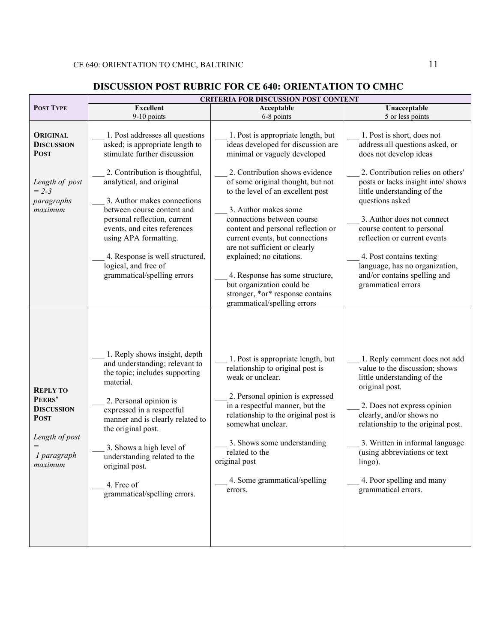### **DISCUSSION POST RUBRIC FOR CE 640: ORIENTATION TO CMHC**

|                                                                                                                  | <b>CRITERIA FOR DISCUSSION POST CONTENT</b>                                                                                                                                                                                                                                                                                                                                                                      |                                                                                                                                                                                                                                                                                                                                                                                                                                                                                                                                                     |                                                                                                                                                                                                                                                                                                                                                                                                                                      |  |  |  |
|------------------------------------------------------------------------------------------------------------------|------------------------------------------------------------------------------------------------------------------------------------------------------------------------------------------------------------------------------------------------------------------------------------------------------------------------------------------------------------------------------------------------------------------|-----------------------------------------------------------------------------------------------------------------------------------------------------------------------------------------------------------------------------------------------------------------------------------------------------------------------------------------------------------------------------------------------------------------------------------------------------------------------------------------------------------------------------------------------------|--------------------------------------------------------------------------------------------------------------------------------------------------------------------------------------------------------------------------------------------------------------------------------------------------------------------------------------------------------------------------------------------------------------------------------------|--|--|--|
| <b>POST TYPE</b>                                                                                                 | <b>Excellent</b>                                                                                                                                                                                                                                                                                                                                                                                                 | Unacceptable                                                                                                                                                                                                                                                                                                                                                                                                                                                                                                                                        |                                                                                                                                                                                                                                                                                                                                                                                                                                      |  |  |  |
| 9-10 points                                                                                                      |                                                                                                                                                                                                                                                                                                                                                                                                                  | 6-8 points                                                                                                                                                                                                                                                                                                                                                                                                                                                                                                                                          | 5 or less points                                                                                                                                                                                                                                                                                                                                                                                                                     |  |  |  |
| <b>ORIGINAL</b><br><b>DISCUSSION</b><br><b>POST</b><br>Length of post<br>$= 2 - 3$<br>paragraphs<br>maximum      | 1. Post addresses all questions<br>asked; is appropriate length to<br>stimulate further discussion<br>2. Contribution is thoughtful,<br>analytical, and original<br>3. Author makes connections<br>between course content and<br>personal reflection, current<br>events, and cites references<br>using APA formatting.<br>4. Response is well structured,<br>logical, and free of<br>grammatical/spelling errors | 1. Post is appropriate length, but<br>ideas developed for discussion are<br>minimal or vaguely developed<br>2. Contribution shows evidence<br>of some original thought, but not<br>to the level of an excellent post<br>3. Author makes some<br>connections between course<br>content and personal reflection or<br>current events, but connections<br>are not sufficient or clearly<br>explained; no citations.<br>4. Response has some structure,<br>but organization could be<br>stronger, *or* response contains<br>grammatical/spelling errors | 1. Post is short, does not<br>address all questions asked, or<br>does not develop ideas<br>2. Contribution relies on others'<br>posts or lacks insight into/ shows<br>little understanding of the<br>questions asked<br>3. Author does not connect<br>course content to personal<br>reflection or current events<br>4. Post contains texting<br>language, has no organization,<br>and/or contains spelling and<br>grammatical errors |  |  |  |
| <b>REPLY TO</b><br>PEERS'<br><b>DISCUSSION</b><br><b>POST</b><br>Length of post<br>$=$<br>1 paragraph<br>maximum | 1. Reply shows insight, depth<br>and understanding; relevant to<br>the topic; includes supporting<br>material.<br>2. Personal opinion is<br>expressed in a respectful<br>manner and is clearly related to<br>the original post.<br>3. Shows a high level of<br>understanding related to the<br>original post.<br>4. Free of<br>grammatical/spelling errors.                                                      | 1. Post is appropriate length, but<br>relationship to original post is<br>weak or unclear.<br>2. Personal opinion is expressed<br>in a respectful manner, but the<br>relationship to the original post is<br>somewhat unclear.<br>3. Shows some understanding<br>related to the<br>original post<br>4. Some grammatical/spelling<br>errors.                                                                                                                                                                                                         | 1. Reply comment does not add<br>value to the discussion; shows<br>little understanding of the<br>original post.<br>2. Does not express opinion<br>clearly, and/or shows no<br>relationship to the original post.<br>3. Written in informal language<br>(using abbreviations or text<br>lingo).<br>4. Poor spelling and many<br>grammatical errors.                                                                                  |  |  |  |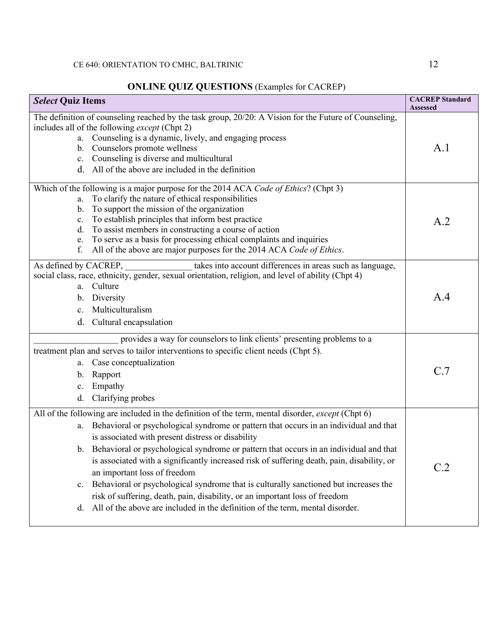# **ONLINE QUIZ QUESTIONS** (Examples for CACREP)

| <b>Select Quiz Items</b>                            | <b>CACREP</b> Standard<br><b>Assessed</b>                                                                                                                                                                                                                                                                                                                                                                                                                                                                                                                                                                                                                                                                                      |     |
|-----------------------------------------------------|--------------------------------------------------------------------------------------------------------------------------------------------------------------------------------------------------------------------------------------------------------------------------------------------------------------------------------------------------------------------------------------------------------------------------------------------------------------------------------------------------------------------------------------------------------------------------------------------------------------------------------------------------------------------------------------------------------------------------------|-----|
| b.                                                  | The definition of counseling reached by the task group, 20/20: A Vision for the Future of Counseling,<br>includes all of the following except (Chpt 2)<br>a. Counseling is a dynamic, lively, and engaging process<br>Counselors promote wellness<br>c. Counseling is diverse and multicultural<br>d. All of the above are included in the definition                                                                                                                                                                                                                                                                                                                                                                          | A.1 |
| a.<br>b.<br>c.<br>d.<br>e.<br>f.                    | Which of the following is a major purpose for the 2014 ACA Code of Ethics? (Chpt 3)<br>To clarify the nature of ethical responsibilities<br>To support the mission of the organization<br>To establish principles that inform best practice<br>To assist members in constructing a course of action<br>To serve as a basis for processing ethical complaints and inquiries<br>All of the above are major purposes for the 2014 ACA Code of Ethics.                                                                                                                                                                                                                                                                             | A.2 |
| As defined by CACREP,<br>b.<br>$\mathbf{c}$ .<br>d. | takes into account differences in areas such as language,<br>social class, race, ethnicity, gender, sexual orientation, religion, and level of ability (Chpt 4)<br>a. Culture<br>Diversity<br>Multiculturalism<br>Cultural encapsulation                                                                                                                                                                                                                                                                                                                                                                                                                                                                                       | A.4 |
| a.<br>b.<br>c.<br>d.                                | provides a way for counselors to link clients' presenting problems to a<br>treatment plan and serves to tailor interventions to specific client needs (Chpt 5).<br>Case conceptualization<br>Rapport<br>Empathy<br>Clarifying probes                                                                                                                                                                                                                                                                                                                                                                                                                                                                                           | C.7 |
| a.<br>b.<br>c.<br>d.                                | All of the following are included in the definition of the term, mental disorder, except (Chpt 6)<br>Behavioral or psychological syndrome or pattern that occurs in an individual and that<br>is associated with present distress or disability<br>Behavioral or psychological syndrome or pattern that occurs in an individual and that<br>is associated with a significantly increased risk of suffering death, pain, disability, or<br>an important loss of freedom<br>Behavioral or psychological syndrome that is culturally sanctioned but increases the<br>risk of suffering, death, pain, disability, or an important loss of freedom<br>All of the above are included in the definition of the term, mental disorder. | C.2 |